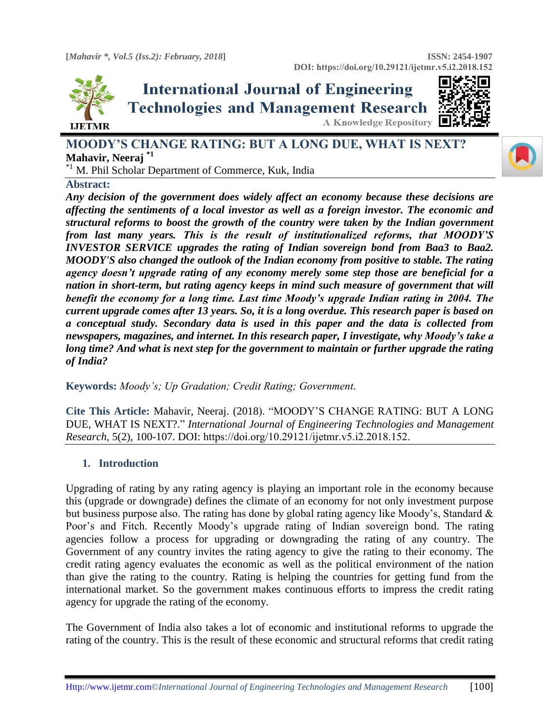



**MOODY'S CHANGE RATING: BUT A LONG DUE, WHAT IS NEXT? Mahavir, Neeraj \*1**

\*1 M. Phil Scholar Department of Commerce, Kuk, India

### **Abstract:**

*Any decision of the government does widely affect an economy because these decisions are affecting the sentiments of a local investor as well as a foreign investor. The economic and structural reforms to boost the growth of the country were taken by the Indian government from last many years. This is the result of institutionalized reforms, that MOODY'S INVESTOR SERVICE upgrades the rating of Indian sovereign bond from Baa3 to Baa2. MOODY'S also changed the outlook of the Indian economy from positive to stable. The rating agency doesn't upgrade rating of any economy merely some step those are beneficial for a nation in short-term, but rating agency keeps in mind such measure of government that will benefit the economy for a long time. Last time Moody's upgrade Indian rating in 2004. The current upgrade comes after 13 years. So, it is a long overdue. This research paper is based on a conceptual study. Secondary data is used in this paper and the data is collected from newspapers, magazines, and internet. In this research paper, I investigate, why Moody's take a long time? And what is next step for the government to maintain or further upgrade the rating of India?*

**Keywords:** *Moody's; Up Gradation; Credit Rating; Government.* 

**Cite This Article:** Mahavir, Neeraj. (2018). "MOODY'S CHANGE RATING: BUT A LONG DUE, WHAT IS NEXT?." *International Journal of Engineering Technologies and Management Research,* 5(2), 100-107. DOI: https://doi.org/10.29121/ijetmr.v5.i2.2018.152.

### **1. Introduction**

Upgrading of rating by any rating agency is playing an important role in the economy because this (upgrade or downgrade) defines the climate of an economy for not only investment purpose but business purpose also. The rating has done by global rating agency like Moody's, Standard & Poor's and Fitch. Recently Moody's upgrade rating of Indian sovereign bond. The rating agencies follow a process for upgrading or downgrading the rating of any country. The Government of any country invites the rating agency to give the rating to their economy. The credit rating agency evaluates the economic as well as the political environment of the nation than give the rating to the country. Rating is helping the countries for getting fund from the international market. So the government makes continuous efforts to impress the credit rating agency for upgrade the rating of the economy.

The Government of India also takes a lot of economic and institutional reforms to upgrade the rating of the country. This is the result of these economic and structural reforms that credit rating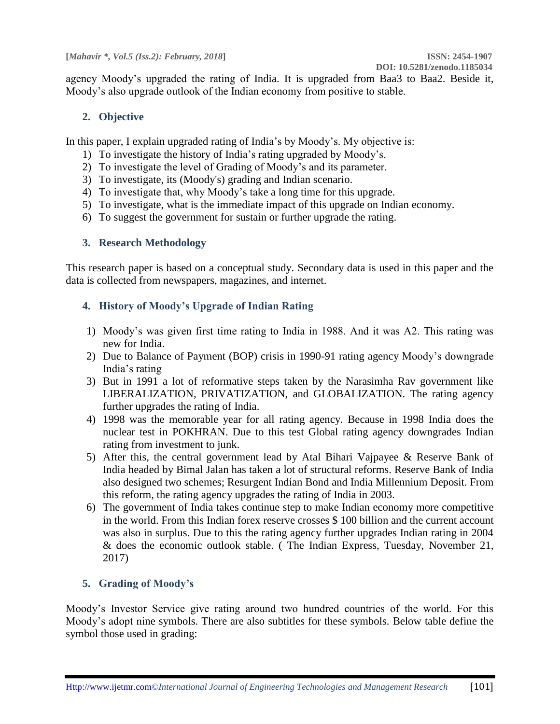agency Moody's upgraded the rating of India. It is upgraded from Baa3 to Baa2. Beside it, Moody's also upgrade outlook of the Indian economy from positive to stable.

## **2. Objective**

In this paper, I explain upgraded rating of India's by Moody's. My objective is:

- 1) To investigate the history of India's rating upgraded by Moody's.
- 2) To investigate the level of Grading of Moody's and its parameter.
- 3) To investigate, its (Moody's) grading and Indian scenario.
- 4) To investigate that, why Moody's take a long time for this upgrade.
- 5) To investigate, what is the immediate impact of this upgrade on Indian economy.
- 6) To suggest the government for sustain or further upgrade the rating.

## **3. Research Methodology**

This research paper is based on a conceptual study. Secondary data is used in this paper and the data is collected from newspapers, magazines, and internet.

# **4. History of Moody's Upgrade of Indian Rating**

- 1) Moody's was given first time rating to India in 1988. And it was A2. This rating was new for India.
- 2) Due to Balance of Payment (BOP) crisis in 1990-91 rating agency Moody's downgrade India's rating
- 3) But in 1991 a lot of reformative steps taken by the Narasimha Rav government like LIBERALIZATION, PRIVATIZATION, and GLOBALIZATION. The rating agency further upgrades the rating of India.
- 4) 1998 was the memorable year for all rating agency. Because in 1998 India does the nuclear test in POKHRAN. Due to this test Global rating agency downgrades Indian rating from investment to junk.
- 5) After this, the central government lead by Atal Bihari Vajpayee & Reserve Bank of India headed by Bimal Jalan has taken a lot of structural reforms. Reserve Bank of India also designed two schemes; Resurgent Indian Bond and India Millennium Deposit. From this reform, the rating agency upgrades the rating of India in 2003.
- 6) The government of India takes continue step to make Indian economy more competitive in the world. From this Indian forex reserve crosses \$ 100 billion and the current account was also in surplus. Due to this the rating agency further upgrades Indian rating in 2004 & does the economic outlook stable. ( The Indian Express, Tuesday, November 21, 2017)

# **5. Grading of Moody's**

Moody's Investor Service give rating around two hundred countries of the world. For this Moody's adopt nine symbols. There are also subtitles for these symbols. Below table define the symbol those used in grading: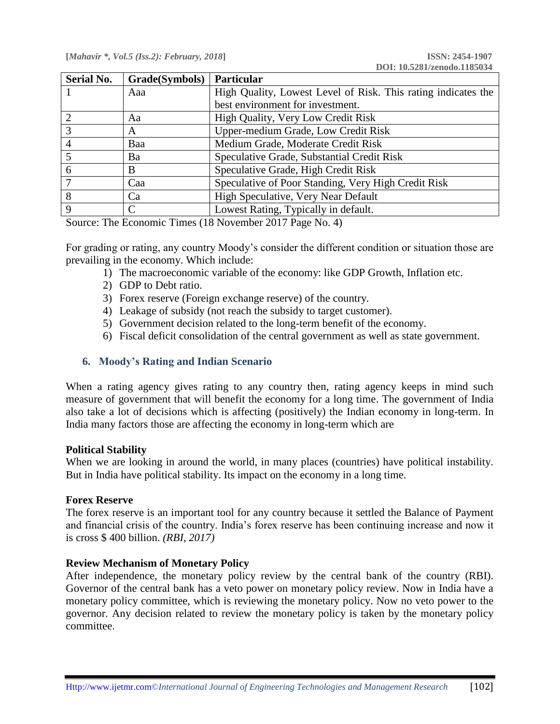| <b>Serial No.</b> | Grade(Symbols) | <b>Particular</b>                                             |
|-------------------|----------------|---------------------------------------------------------------|
|                   | Aaa            | High Quality, Lowest Level of Risk. This rating indicates the |
|                   |                | best environment for investment.                              |
|                   | Aa             | High Quality, Very Low Credit Risk                            |
| 3                 | A              | Upper-medium Grade, Low Credit Risk                           |
|                   | Baa            | Medium Grade, Moderate Credit Risk                            |
|                   | Ba             | Speculative Grade, Substantial Credit Risk                    |
| 6                 | B              | Speculative Grade, High Credit Risk                           |
|                   | Caa            | Speculative of Poor Standing, Very High Credit Risk           |
| 8                 | Ca             | High Speculative, Very Near Default                           |
| 9                 | C              | Lowest Rating, Typically in default.                          |

Source: The Economic Times (18 November 2017 Page No. 4)

For grading or rating, any country Moody's consider the different condition or situation those are prevailing in the economy. Which include:

- 1) The macroeconomic variable of the economy: like GDP Growth, Inflation etc.
- 2) GDP to Debt ratio.
- 3) Forex reserve (Foreign exchange reserve) of the country.
- 4) Leakage of subsidy (not reach the subsidy to target customer).
- 5) Government decision related to the long-term benefit of the economy.
- 6) Fiscal deficit consolidation of the central government as well as state government.

#### **6. Moody's Rating and Indian Scenario**

When a rating agency gives rating to any country then, rating agency keeps in mind such measure of government that will benefit the economy for a long time. The government of India also take a lot of decisions which is affecting (positively) the Indian economy in long-term. In India many factors those are affecting the economy in long-term which are

#### **Political Stability**

When we are looking in around the world, in many places (countries) have political instability. But in India have political stability. Its impact on the economy in a long time.

#### **Forex Reserve**

The forex reserve is an important tool for any country because it settled the Balance of Payment and financial crisis of the country. India's forex reserve has been continuing increase and now it is cross \$ 400 billion. *(RBI, 2017)*

### **Review Mechanism of Monetary Policy**

After independence, the monetary policy review by the central bank of the country (RBI). Governor of the central bank has a veto power on monetary policy review. Now in India have a monetary policy committee, which is reviewing the monetary policy. Now no veto power to the governor. Any decision related to review the monetary policy is taken by the monetary policy committee.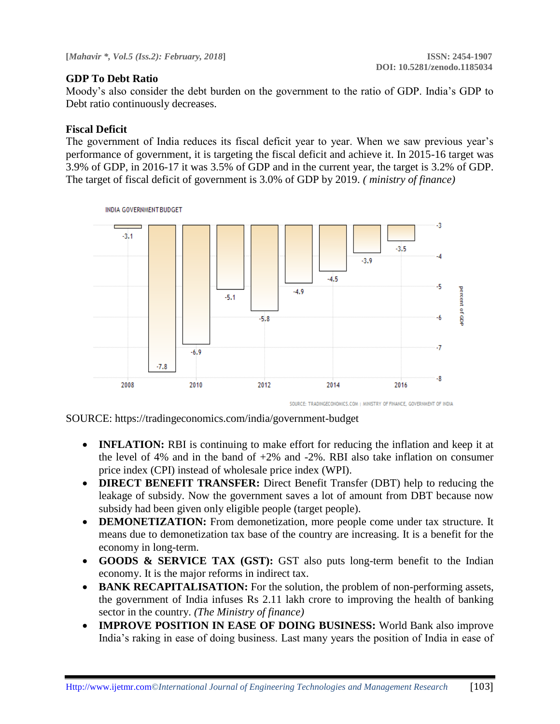### **GDP To Debt Ratio**

Moody's also consider the debt burden on the government to the ratio of GDP. India's GDP to Debt ratio continuously decreases.

### **Fiscal Deficit**

The government of India reduces its fiscal deficit year to year. When we saw previous year's performance of government, it is targeting the fiscal deficit and achieve it. In 2015-16 target was 3.9% of GDP, in 2016-17 it was 3.5% of GDP and in the current year, the target is 3.2% of GDP. The target of fiscal deficit of government is 3.0% of GDP by 2019. *( ministry of finance)*



SOURCE: https://tradingeconomics.com/india/government-budget

- **INFLATION:** RBI is continuing to make effort for reducing the inflation and keep it at the level of 4% and in the band of  $+2\%$  and  $-2\%$ . RBI also take inflation on consumer price index (CPI) instead of wholesale price index (WPI).
- **DIRECT BENEFIT TRANSFER:** Direct Benefit Transfer (DBT) help to reducing the leakage of subsidy. Now the government saves a lot of amount from DBT because now subsidy had been given only eligible people (target people).
- **DEMONETIZATION:** From demonetization, more people come under tax structure. It means due to demonetization tax base of the country are increasing. It is a benefit for the economy in long-term.
- **GOODS & SERVICE TAX (GST):** GST also puts long-term benefit to the Indian economy. It is the major reforms in indirect tax.
- **BANK RECAPITALISATION:** For the solution, the problem of non-performing assets, the government of India infuses Rs 2.11 lakh crore to improving the health of banking sector in the country. *(The Ministry of finance)*
- **IMPROVE POSITION IN EASE OF DOING BUSINESS:** World Bank also improve India's raking in ease of doing business. Last many years the position of India in ease of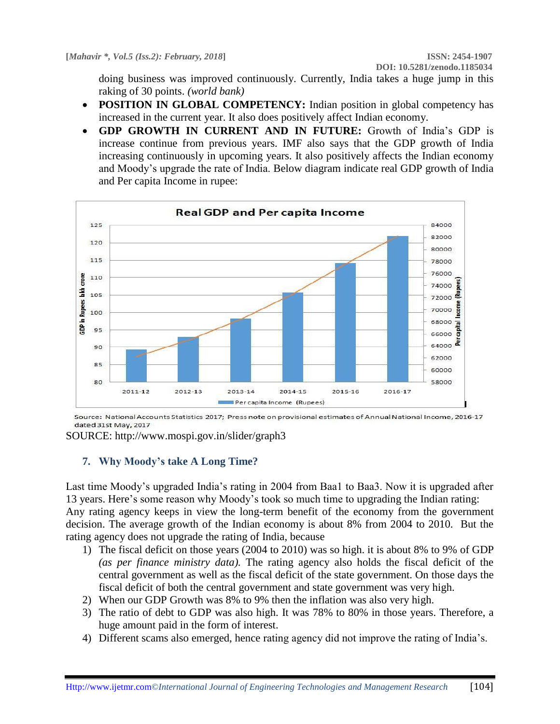doing business was improved continuously. Currently, India takes a huge jump in this raking of 30 points. *(world bank)*

- **POSITION IN GLOBAL COMPETENCY:** Indian position in global competency has increased in the current year. It also does positively affect Indian economy.
- **GDP GROWTH IN CURRENT AND IN FUTURE:** Growth of India's GDP is increase continue from previous years. IMF also says that the GDP growth of India increasing continuously in upcoming years. It also positively affects the Indian economy and Moody's upgrade the rate of India. Below diagram indicate real GDP growth of India and Per capita Income in rupee:



Source: National Accounts Statistics 2017; Press note on provisional estimates of Annual National Income, 2016-17 dated 31st May, 2017

SOURCE: http://www.mospi.gov.in/slider/graph3

### **7. Why Moody's take A Long Time?**

Last time Moody's upgraded India's rating in 2004 from Baa1 to Baa3. Now it is upgraded after 13 years. Here's some reason why Moody's took so much time to upgrading the Indian rating: Any rating agency keeps in view the long-term benefit of the economy from the government decision. The average growth of the Indian economy is about 8% from 2004 to 2010. But the rating agency does not upgrade the rating of India, because

- 1) The fiscal deficit on those years (2004 to 2010) was so high. it is about 8% to 9% of GDP *(as per finance ministry data).* The rating agency also holds the fiscal deficit of the central government as well as the fiscal deficit of the state government. On those days the fiscal deficit of both the central government and state government was very high.
- 2) When our GDP Growth was 8% to 9% then the inflation was also very high.
- 3) The ratio of debt to GDP was also high. It was 78% to 80% in those years. Therefore, a huge amount paid in the form of interest.
- 4) Different scams also emerged, hence rating agency did not improve the rating of India's.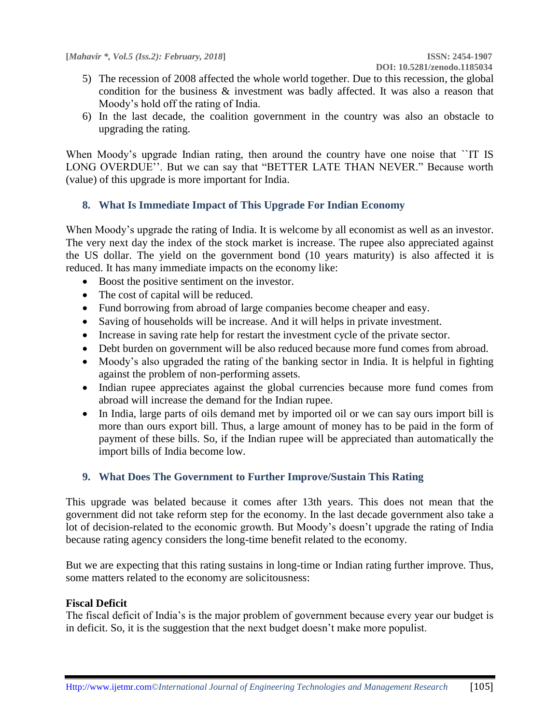- 5) The recession of 2008 affected the whole world together. Due to this recession, the global condition for the business & investment was badly affected. It was also a reason that Moody's hold off the rating of India.
- 6) In the last decade, the coalition government in the country was also an obstacle to upgrading the rating.

When Moody's upgrade Indian rating, then around the country have one noise that ``IT IS LONG OVERDUE''. But we can say that "BETTER LATE THAN NEVER." Because worth (value) of this upgrade is more important for India.

### **8. What Is Immediate Impact of This Upgrade For Indian Economy**

When Moody's upgrade the rating of India. It is welcome by all economist as well as an investor. The very next day the index of the stock market is increase. The rupee also appreciated against the US dollar. The yield on the government bond (10 years maturity) is also affected it is reduced. It has many immediate impacts on the economy like:

- Boost the positive sentiment on the investor.
- The cost of capital will be reduced.
- Fund borrowing from abroad of large companies become cheaper and easy.
- Saving of households will be increase. And it will helps in private investment.
- Increase in saving rate help for restart the investment cycle of the private sector.
- Debt burden on government will be also reduced because more fund comes from abroad.
- Moody's also upgraded the rating of the banking sector in India. It is helpful in fighting against the problem of non-performing assets.
- Indian rupee appreciates against the global currencies because more fund comes from abroad will increase the demand for the Indian rupee.
- In India, large parts of oils demand met by imported oil or we can say ours import bill is more than ours export bill. Thus, a large amount of money has to be paid in the form of payment of these bills. So, if the Indian rupee will be appreciated than automatically the import bills of India become low.

### **9. What Does The Government to Further Improve/Sustain This Rating**

This upgrade was belated because it comes after 13th years. This does not mean that the government did not take reform step for the economy. In the last decade government also take a lot of decision-related to the economic growth. But Moody's doesn't upgrade the rating of India because rating agency considers the long-time benefit related to the economy.

But we are expecting that this rating sustains in long-time or Indian rating further improve. Thus, some matters related to the economy are solicitousness:

### **Fiscal Deficit**

The fiscal deficit of India's is the major problem of government because every year our budget is in deficit. So, it is the suggestion that the next budget doesn't make more populist.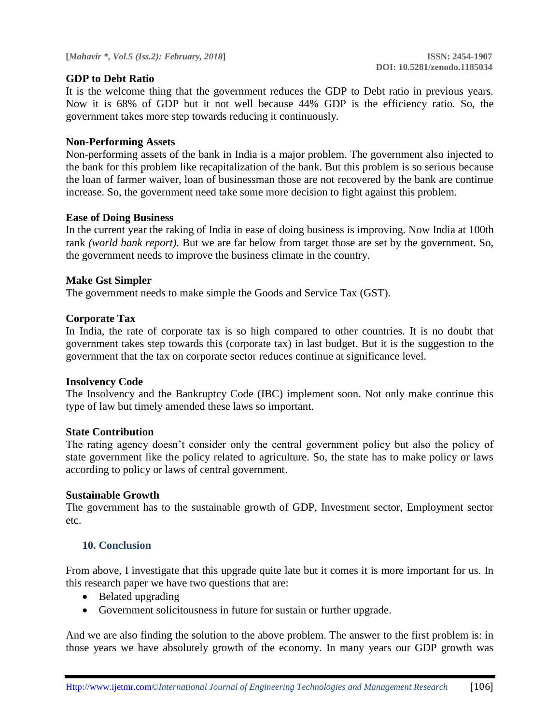### **GDP to Debt Ratio**

It is the welcome thing that the government reduces the GDP to Debt ratio in previous years. Now it is 68% of GDP but it not well because 44% GDP is the efficiency ratio. So, the government takes more step towards reducing it continuously.

### **Non-Performing Assets**

Non-performing assets of the bank in India is a major problem. The government also injected to the bank for this problem like recapitalization of the bank. But this problem is so serious because the loan of farmer waiver, loan of businessman those are not recovered by the bank are continue increase. So, the government need take some more decision to fight against this problem.

### **Ease of Doing Business**

In the current year the raking of India in ease of doing business is improving. Now India at 100th rank *(world bank report).* But we are far below from target those are set by the government. So, the government needs to improve the business climate in the country.

### **Make Gst Simpler**

The government needs to make simple the Goods and Service Tax (GST).

### **Corporate Tax**

In India, the rate of corporate tax is so high compared to other countries. It is no doubt that government takes step towards this (corporate tax) in last budget. But it is the suggestion to the government that the tax on corporate sector reduces continue at significance level.

### **Insolvency Code**

The Insolvency and the Bankruptcy Code (IBC) implement soon. Not only make continue this type of law but timely amended these laws so important.

### **State Contribution**

The rating agency doesn't consider only the central government policy but also the policy of state government like the policy related to agriculture. So, the state has to make policy or laws according to policy or laws of central government.

### **Sustainable Growth**

The government has to the sustainable growth of GDP, Investment sector, Employment sector etc.

### **10. Conclusion**

From above, I investigate that this upgrade quite late but it comes it is more important for us. In this research paper we have two questions that are:

- Belated upgrading
- Government solicitousness in future for sustain or further upgrade.

And we are also finding the solution to the above problem. The answer to the first problem is: in those years we have absolutely growth of the economy. In many years our GDP growth was